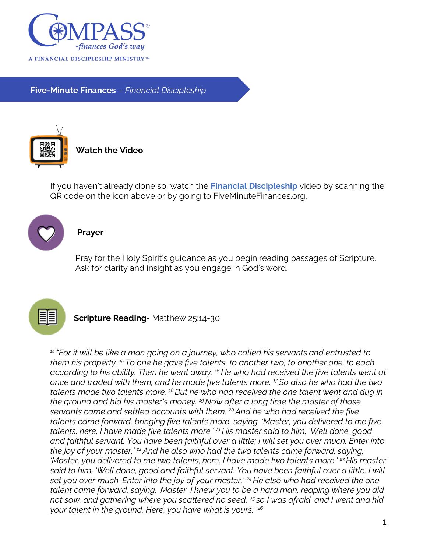

**Five-Minute Finances** – *Financial Discipleship*



If you haven't already done so, watch the **Financial Discipleship** video by scanning the QR code on the icon above or by going to FiveMinuteFinances.org.



## **Prayer**

Pray for the Holy Spirit's guidance as you begin reading passages of Scripture. Ask for clarity and insight as you engage in God's word.



**Scripture Reading-** Matthew 25:14-30

*<sup>14</sup> "For it will be like a man going on a journey, who called his servants and entrusted to them his property. <sup>15</sup> To one he gave five talents, to another two, to another one, to each according to his ability. Then he went away. <sup>16</sup> He who had received the five talents went at once and traded with them, and he made five talents more. <sup>17</sup>So also he who had the two talents made two talents more. <sup>18</sup>But he who had received the one talent went and dug in the ground and hid his master's money. <sup>19</sup>Now after a long time the master of those servants came and settled accounts with them. <sup>20</sup>And he who had received the five talents came forward, bringing five talents more, saying, 'Master, you delivered to me five talents; here, I have made five talents more.' <sup>21</sup> His master said to him, 'Well done, good and faithful servant. You have been faithful over a little; I will set you over much. Enter into the joy of your master.' <sup>22</sup>And he also who had the two talents came forward, saying, 'Master, you delivered to me two talents; here, I have made two talents more.' <sup>23</sup>His master said to him, 'Well done, good and faithful servant. You have been faithful over a little; I will set you over much. Enter into the joy of your master.' <sup>24</sup> He also who had received the one talent came forward, saying, 'Master, I knew you to be a hard man, reaping where you did not sow, and gathering where you scattered no seed, <sup>25</sup> so I was afraid, and I went and hid your talent in the ground. Here, you have what is yours.' <sup>26</sup>*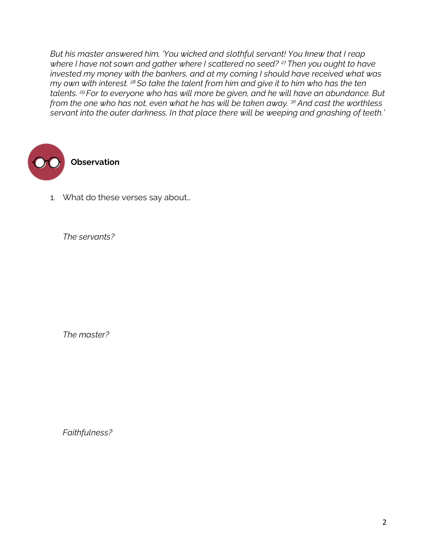*But his master answered him, 'You wicked and slothful servant! You knew that I reap where I have not sown and gather where I scattered no seed? <sup>27</sup>Then you ought to have invested my money with the bankers, and at my coming I should have received what was my own with interest. <sup>28</sup> So take the talent from him and give it to him who has the ten talents. <sup>29</sup> For to everyone who has will more be given, and he will have an abundance. But from the one who has not, even what he has will be taken away. <sup>30</sup>And cast the worthless servant into the outer darkness. In that place there will be weeping and gnashing of teeth.'*



1. What do these verses say about…

*The servants?*

*The master?*

*Faithfulness?*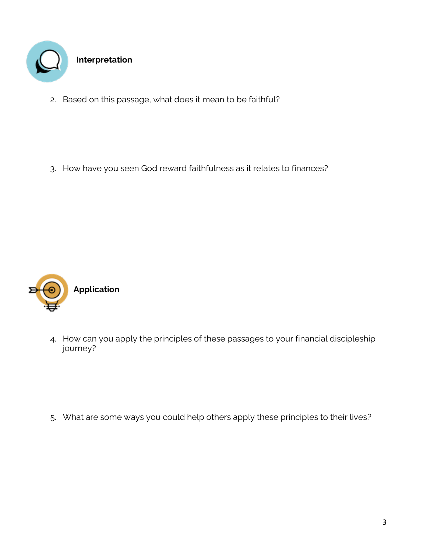

2. Based on this passage, what does it mean to be faithful?

3. How have you seen God reward faithfulness as it relates to finances?



4. How can you apply the principles of these passages to your financial discipleship journey?

5. What are some ways you could help others apply these principles to their lives?